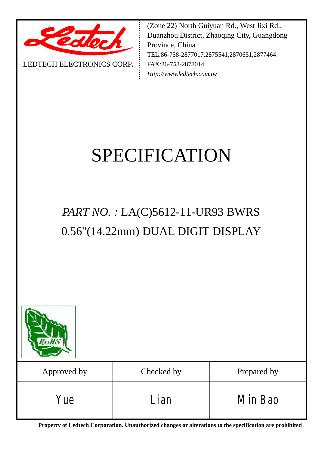

LEDTECH ELECTRONICS CORP**.**

(Zone 22) North Guiyuan Rd., West Jixi Rd., Duanzhou District, Zhaoqing City, Guangdong Province, China TEL:86-758-2877017,2875541,2870651,2877464 FAX:86-758-2878014 *[Http://www.ledtech.com.tw](http://www.ledtech.com.tw)*

# SPECIFICATION

## *PART NO. :* LA(C)5612-11-UR93 BWRS 0.56"(14.22mm) DUAL DIGIT DISPLAY



| Approved by | Checked by | Prepared by |
|-------------|------------|-------------|
| Yue         | ian        | Min Bao     |

**Property of Ledtech Corporation. Unauthorized changes or alterations to the specification are prohibited***.*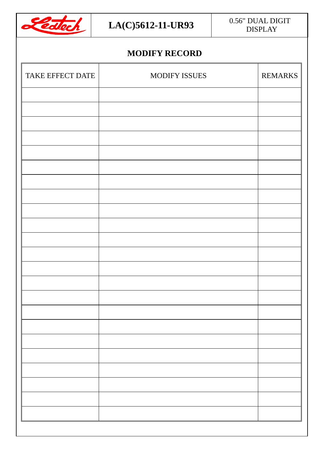

## DISPLAY

#### **MODIFY RECORD**

| MODIFY ISSUES | REMARKS |
|---------------|---------|
|               |         |
|               |         |
|               |         |
|               |         |
|               |         |
|               |         |
|               |         |
|               |         |
|               |         |
|               |         |
|               |         |
|               |         |
|               |         |
|               |         |
|               |         |
|               |         |
|               |         |
|               |         |
|               |         |
|               |         |
|               |         |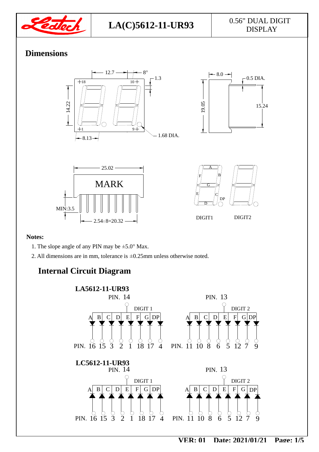

## DISPLAY

#### **Dimensions**



#### **Notes:**

- 1. The slope angle of any PIN may be ±5.0° Max.
- 2. All dimensions are in mm, tolerance is ±0.25mm unless otherwise noted.

#### **Internal Circuit Diagram**

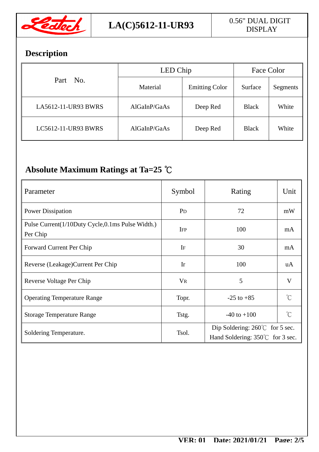

### **Description**

| Part No.            | LED Chip     |                       | Face Color   |          |
|---------------------|--------------|-----------------------|--------------|----------|
|                     | Material     | <b>Emitting Color</b> | Surface      | Segments |
| LA5612-11-UR93 BWRS | AlGaInP/GaAs | Deep Red              | <b>Black</b> | White    |
| LC5612-11-UR93 BWRS | AlGaInP/GaAs | Deep Red              | <b>Black</b> | White    |

### **Absolute Maximum Ratings at Ta=25 ℃**

| Parameter                                                    | Symbol         | Rating                                                                              | Unit                |  |
|--------------------------------------------------------------|----------------|-------------------------------------------------------------------------------------|---------------------|--|
| <b>Power Dissipation</b>                                     | P <sub>D</sub> | 72                                                                                  | mW                  |  |
| Pulse Current(1/10Duty Cycle,0.1ms Pulse Width.)<br>Per Chip | <b>IFP</b>     | 100                                                                                 | mA                  |  |
| Forward Current Per Chip                                     | IF             | 30                                                                                  | mA                  |  |
| Reverse (Leakage) Current Per Chip                           | Ir             | 100                                                                                 | uA                  |  |
| Reverse Voltage Per Chip                                     | <b>VR</b>      | 5                                                                                   | V                   |  |
| <b>Operating Temperature Range</b>                           | Topr.          | $-25$ to $+85$                                                                      | $\int_{0}^{\infty}$ |  |
| <b>Storage Temperature Range</b>                             | Tstg.          | $-40$ to $+100$                                                                     | $\int_{0}^{\infty}$ |  |
| Soldering Temperature.                                       | Tsol.          | Dip Soldering: $260^{\circ}$ for 5 sec.<br>Hand Soldering: $350^{\circ}$ for 3 sec. |                     |  |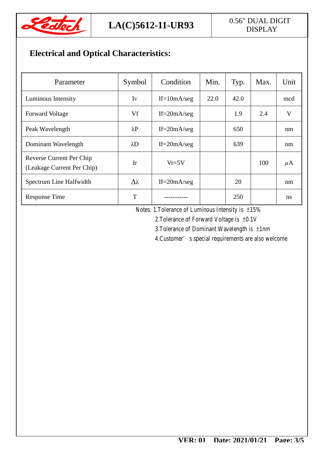

## DISPLAY

### **Electrical and Optical Characteristics:**

| Parameter                                              | Symbol      | Condition       | Min. | Typ. | Max. | Unit    |
|--------------------------------------------------------|-------------|-----------------|------|------|------|---------|
| Luminous Intensity                                     | Iv          | If= $10mA/secg$ | 22.0 | 42.0 |      | mcd     |
| <b>Forward Voltage</b>                                 | Vf          | $If = 20mA/sec$ |      | 1.9  | 2.4  | V       |
| Peak Wavelength                                        | $\lambda$ P | If= $20mA/secg$ |      | 650  |      | nm      |
| Dominant Wavelength                                    | $\lambda$ D | If= $20mA/secg$ |      | 639  |      | nm      |
| Reverse Current Per Chip<br>(Leakage Current Per Chip) | Ir          | $Vr = 5V$       |      |      | 100  | $\mu$ A |
| Spectrum Line Halfwidth                                | Δλ          | If= $20mA/secg$ |      | 20   |      | nm      |
| <b>Response Time</b>                                   | T           |                 |      | 250  |      | ns      |

Notes: 1.Tolerance of Luminous Intensity is ±15%

2.Tolerance of Forward Voltage is ±0.1V

3.Tolerance of Dominant Wavelength is ±1nm

4.Customer's special requirements are also welcome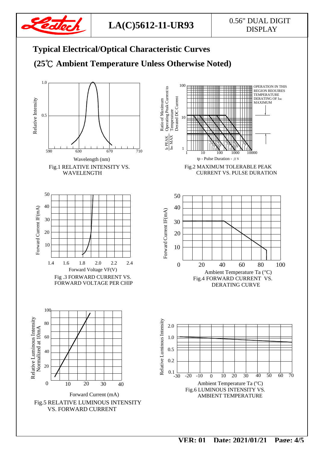